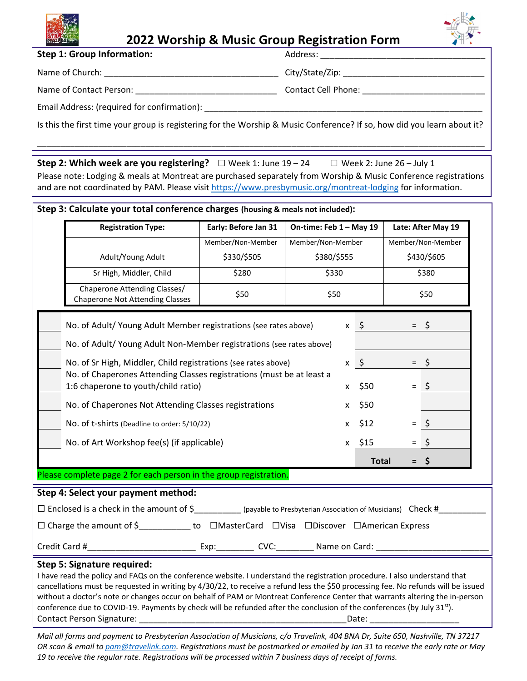

## **2022 Worship & Music Group Registration Form**

**Step 1: Group Information:**  Address: \_\_\_\_\_\_\_\_\_\_\_\_\_\_\_\_\_\_\_\_\_\_\_\_\_\_\_\_\_\_\_\_\_\_\_

Name of Church: \_\_\_\_\_\_\_\_\_\_\_\_\_\_\_\_\_\_\_\_\_\_\_\_\_\_\_\_\_\_\_\_\_\_\_\_\_ City/State/Zip: \_\_\_\_\_\_\_\_\_\_\_\_\_\_\_\_\_\_\_\_\_\_\_\_\_\_\_\_\_\_

Name of Contact Person: \_\_\_\_\_\_\_\_\_\_\_\_\_\_\_\_\_\_\_\_\_\_\_\_\_\_\_\_\_\_ Contact Cell Phone: \_\_\_\_\_\_\_\_\_\_\_\_\_\_\_\_\_\_\_\_\_\_\_\_\_\_

Email Address: (required for confirmation): \_\_\_\_\_\_\_\_\_\_\_\_\_\_\_\_\_\_\_\_\_\_\_\_\_\_\_\_\_\_\_\_\_\_\_\_\_\_\_\_\_\_\_\_\_\_\_\_\_\_\_\_\_\_\_\_\_\_\_

Is this the first time your group is registering for the Worship & Music Conference? If so, how did you learn about it?

\_\_\_\_\_\_\_\_\_\_\_\_\_\_\_\_\_\_\_\_\_\_\_\_\_\_\_\_\_\_\_\_\_\_\_\_\_\_\_\_\_\_\_\_\_\_\_\_\_\_\_\_\_\_\_\_\_\_\_\_\_\_\_\_\_\_\_\_\_\_\_\_\_\_\_\_\_\_\_\_\_\_\_\_\_\_\_\_\_\_\_\_\_\_\_

**Step 2: Which week are you registering?** □ Week 1: June <sup>19</sup> – <sup>24</sup> □ Week 2: June <sup>26</sup> – July <sup>1</sup> Please note: Lodging & meals at Montreat are purchased separately from Worship & Music Conference registrations and are not coordinated by PAM. Please visit https://www.presbymusic.org/montreat-lodging for information.

## **Step 3: Calculate your total conference charges (housing & meals not included):**

| <b>Registration Type:</b>                                                                                                                                                                                                                                                                                                                                                                                                                                                                                                                                 | Early: Before Jan 31                               |                                           | On-time: Feb 1 - May 19 |                 | Late: After May 19                        |         |
|-----------------------------------------------------------------------------------------------------------------------------------------------------------------------------------------------------------------------------------------------------------------------------------------------------------------------------------------------------------------------------------------------------------------------------------------------------------------------------------------------------------------------------------------------------------|----------------------------------------------------|-------------------------------------------|-------------------------|-----------------|-------------------------------------------|---------|
|                                                                                                                                                                                                                                                                                                                                                                                                                                                                                                                                                           | Member/Non-Member                                  | Member/Non-Member<br>\$380/\$555<br>\$330 |                         |                 | Member/Non-Member<br>\$430/\$605<br>\$380 |         |
| Adult/Young Adult                                                                                                                                                                                                                                                                                                                                                                                                                                                                                                                                         | \$330/\$505                                        |                                           |                         |                 |                                           |         |
| Sr High, Middler, Child                                                                                                                                                                                                                                                                                                                                                                                                                                                                                                                                   | \$280                                              |                                           |                         |                 |                                           |         |
| Chaperone Attending Classes/<br><b>Chaperone Not Attending Classes</b>                                                                                                                                                                                                                                                                                                                                                                                                                                                                                    | \$50                                               |                                           | \$50                    |                 | \$50                                      |         |
| No. of Adult/ Young Adult Member registrations (see rates above)                                                                                                                                                                                                                                                                                                                                                                                                                                                                                          |                                                    |                                           |                         | $x \quad \zeta$ | $=$                                       | \$      |
| No. of Adult/ Young Adult Non-Member registrations (see rates above)                                                                                                                                                                                                                                                                                                                                                                                                                                                                                      |                                                    |                                           |                         |                 |                                           |         |
| No. of Sr High, Middler, Child registrations (see rates above)                                                                                                                                                                                                                                                                                                                                                                                                                                                                                            |                                                    |                                           |                         | $x \quad$       |                                           | $=$ \$  |
| No. of Chaperones Attending Classes registrations (must be at least a<br>1:6 chaperone to youth/child ratio)                                                                                                                                                                                                                                                                                                                                                                                                                                              |                                                    |                                           | X                       | \$50            |                                           | $=$ \$  |
| No. of Chaperones Not Attending Classes registrations                                                                                                                                                                                                                                                                                                                                                                                                                                                                                                     |                                                    |                                           | x                       | \$50            |                                           |         |
| No. of t-shirts (Deadline to order: 5/10/22)                                                                                                                                                                                                                                                                                                                                                                                                                                                                                                              |                                                    |                                           | <b>X</b>                | \$12            |                                           | $=$ \$  |
| No. of Art Workshop fee(s) (if applicable)                                                                                                                                                                                                                                                                                                                                                                                                                                                                                                                |                                                    |                                           |                         | $x$ \$15        | $=$                                       | $\zeta$ |
|                                                                                                                                                                                                                                                                                                                                                                                                                                                                                                                                                           |                                                    |                                           |                         | <b>Total</b>    | $=$                                       | \$      |
| Please complete page 2 for each person in the group registration.                                                                                                                                                                                                                                                                                                                                                                                                                                                                                         |                                                    |                                           |                         |                 |                                           |         |
| Step 4: Select your payment method:                                                                                                                                                                                                                                                                                                                                                                                                                                                                                                                       |                                                    |                                           |                         |                 |                                           |         |
| $\Box$ Enclosed is a check in the amount of $\sin \theta$ (payable to Presbyterian Association of Musicians) Check #                                                                                                                                                                                                                                                                                                                                                                                                                                      |                                                    |                                           |                         |                 |                                           |         |
| □ Charge the amount of \$ ____________ to □MasterCard □Visa □Discover □American Express                                                                                                                                                                                                                                                                                                                                                                                                                                                                   |                                                    |                                           |                         |                 |                                           |         |
| Credit Card #                                                                                                                                                                                                                                                                                                                                                                                                                                                                                                                                             | ___ Exp:___________ CVC:__________ Name on Card: _ |                                           |                         |                 |                                           |         |
| Step 5: Signature required:<br>I have read the policy and FAQs on the conference website. I understand the registration procedure. I also understand that<br>cancellations must be requested in writing by 4/30/22, to receive a refund less the \$50 processing fee. No refunds will be issued<br>without a doctor's note or changes occur on behalf of PAM or Montreat Conference Center that warrants altering the in-person<br>conference due to COVID-19. Payments by check will be refunded after the conclusion of the conferences (by July 31st). |                                                    |                                           |                         |                 |                                           |         |

Mail all forms and payment to Presbyterian Association of Musicians, c/o Travelink, 404 BNA Dr, Suite 650, Nashville, TN 37217 OR scan & email to pam@travelink.com. Registrations must be postmarked or emailed by Jan 31 to receive the early rate or May 19 to receive the regular rate. Registrations will be processed within 7 business days of receipt of forms.

Contact Person Signature: \_\_\_\_\_\_\_\_\_\_\_\_\_\_\_\_\_\_\_\_\_\_\_\_\_\_\_\_\_\_\_\_\_\_\_\_\_\_\_\_\_\_\_\_Date: \_\_\_\_\_\_\_\_\_\_\_\_\_\_\_\_\_\_\_